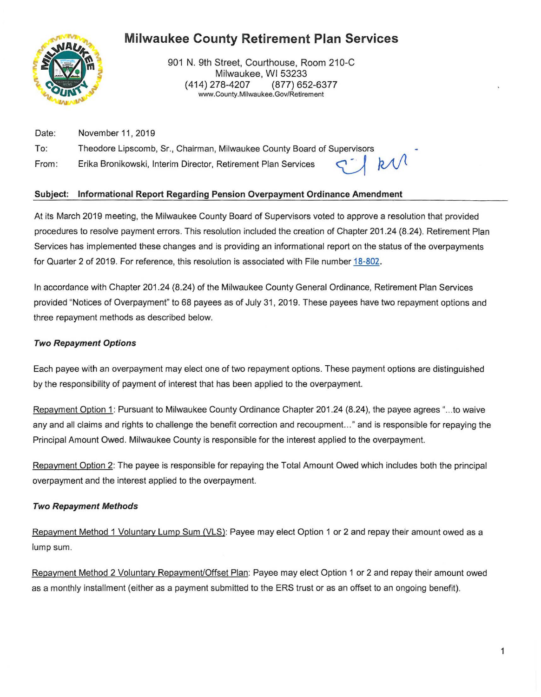# **Milwaukee County Retirement Plan Services**



901 N. 9th Street, Courthouse, Room 210-C Milwaukee, WI 53233 (414) 278-4207 (877) 652-6377 www. County. Milwaukee. Gov/Retirement

Date: To: From : November 11 , 2019 Theodore Lipscomb, Sr., Chairman, Milwaukee County Board of Supervisors<br>Erika Bronikowski, Interim Director, Retirement Plan Services

## **Subject: Informational Report Regarding Pension Overpayment Ordinance Amendment**

At its March 2019 meeting, the Milwaukee County Board of Supervisors voted to approve a resolution that provided procedures to resolve payment errors. This resolution included the creation of Chapter 201 .24 (8.24). Retirement Plan Services has implemented these changes and is providing an informational report on the status of the overpayments for Quarter 2 of 2019. For reference, this resolution is associated with File number 18-802.

In accordance with Chapter 201.24 (8.24) of the Milwaukee County General Ordinance, Retirement Plan Services provided "Notices of Overpayment" to 68 payees as of July 31, 2019. These payees have two repayment options and three repayment methods as described below.

### **Two Repayment Options**

Each payee with an overpayment may elect one of two repayment options. These payment options are distinguished by the responsibility of payment of interest that has been applied to the overpayment.

Repayment Option 1: Pursuant to Milwaukee County Ordinance Chapter 201.24 (8.24), the payee agrees "...to waive any and all claims and rights to challenge the benefit correction and recoupment.. ." and is responsible for repaying the Principal Amount Owed. Milwaukee County is responsible for the interest applied to the overpayment.

Repayment Option 2: The payee is responsible for repaying the Total Amount Owed which includes both the principal overpayment and the interest applied to the overpayment.

#### **Two Repayment Methods**

Repayment Method 1 Voluntary Lump Sum (VLS): Payee may elect Option 1 or 2 and repay their amount owed as a lump sum.

Repayment Method 2 Voluntary Repayment/Offset Plan: Payee may elect Option 1 or 2 and repay their amount owed as a monthly installment (either as a payment submitted to the ERS trust or as an offset to an ongoing benefit).